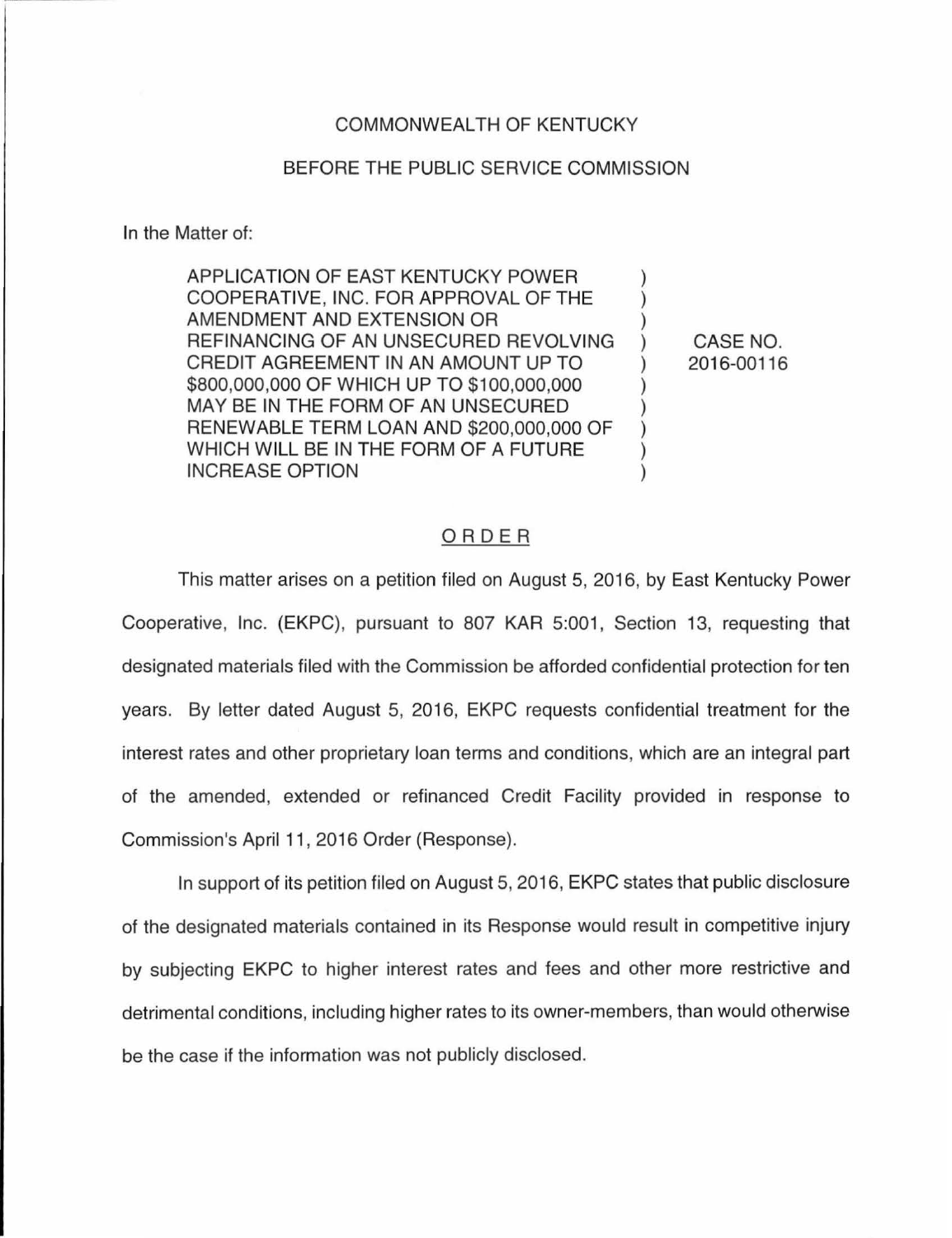## COMMONWEALTH OF KENTUCKY

## BEFORE THE PUBLIC SERVICE COMMISSION

In the Matter of:

APPLICATION OF EAST KENTUCKY POWER COOPERATIVE, INC. FOR APPROVAL OF THE AMENDMENT AND EXTENSION OR REFINANCING OF AN UNSECURED REVOLVING CREDIT AGREEMENT IN AN AMOUNT UP TO \$800,000,000 OF WHICH UP TO \$100,000,000 MAY BE IN THE FORM OF AN UNSECURED RENEWABLE TERM LOAN AND \$200,000,000 OF WHICH WILL BE IN THE FORM OF A FUTURE INCREASE OPTION

CASE NO. 2016-00116

## ORDER

This matter arises on a petition filed on August 5, 2016, by East Kentucky Power Cooperative, Inc. (EKPC), pursuant to 807 KAR 5:001, Section 13, requesting that designated materials filed with the Commission be afforded confidential protection for ten years. By letter dated August 5, 2016, EKPC requests confidential treatment for the interest rates and other proprietary loan terms and conditions, which are an integral part of the amended, extended or refinanced Credit Facility provided in response to Commission's April 11, 2016 Order (Response).

In support of its petition filed on August 5, 2016, EKPC states that public disclosure of the designated materials contained in its Response would result in competitive injury by subjecting EKPC to higher interest rates and fees and other more restrictive and detrimental conditions, including higher rates to its owner-members, than would otherwise be the case if the information was not publicly disclosed.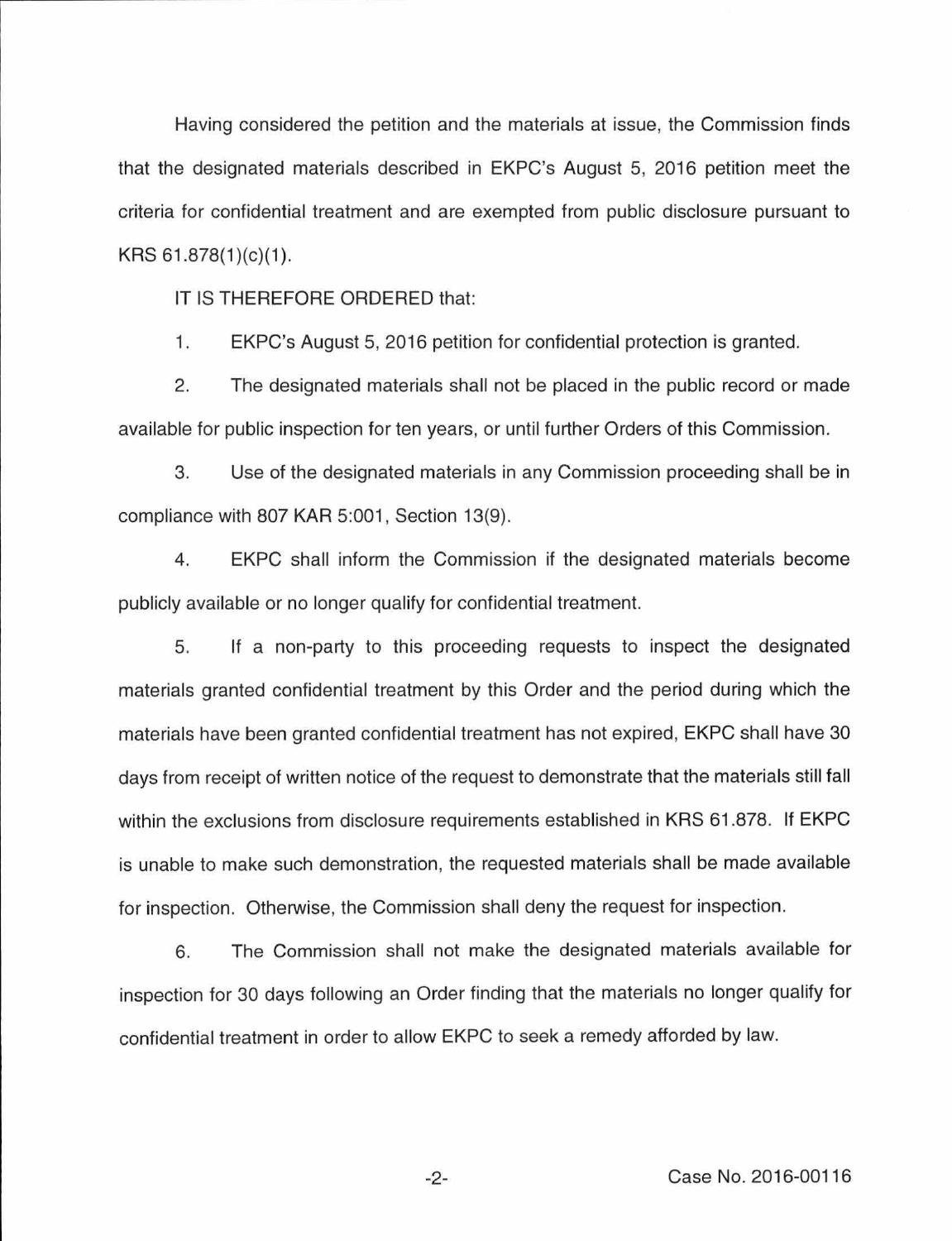Having considered the petition and the materials at issue, the Commission finds that the designated materials described in EKPC's August 5, 2016 petition meet the criteria for confidential treatment and are exempted from public disclosure pursuant to  $KRS 61.878(1)(c)(1)$ .

IT IS THEREFORE ORDERED that:

1. EKPC's August 5, 2016 petition for confidential protection is granted.

2. The designated materials shall not be placed in the public record or made available for public inspection for ten years, or until further Orders of this Commission.

3. Use of the designated materials in any Commission proceeding shall be in compliance with 807 KAR 5:001, Section 13(9).

4. EKPC shall inform the Commission if the designated materials become publicly available or no longer qualify for confidential treatment.

5. If a non-party to this proceeding requests to inspect the designated materials granted confidential treatment by this Order and the period during which the materials have been granted confidential treatment has not expired, EKPC shall have 30 days from receipt of written notice of the request to demonstrate that the materials still fall within the exclusions from disclosure requirements established in KRS 61 .878. If EKPC is unable to make such demonstration, the requested materials shall be made available for inspection. Otherwise, the Commission shall deny the request for inspection.

6. The Commission shall not make the designated materials available for inspection for 30 days following an Order finding that the materials no longer qualify for confidential treatment in order to allow EKPC to seek a remedy afforded by law.

-2- Case No. 2016-00116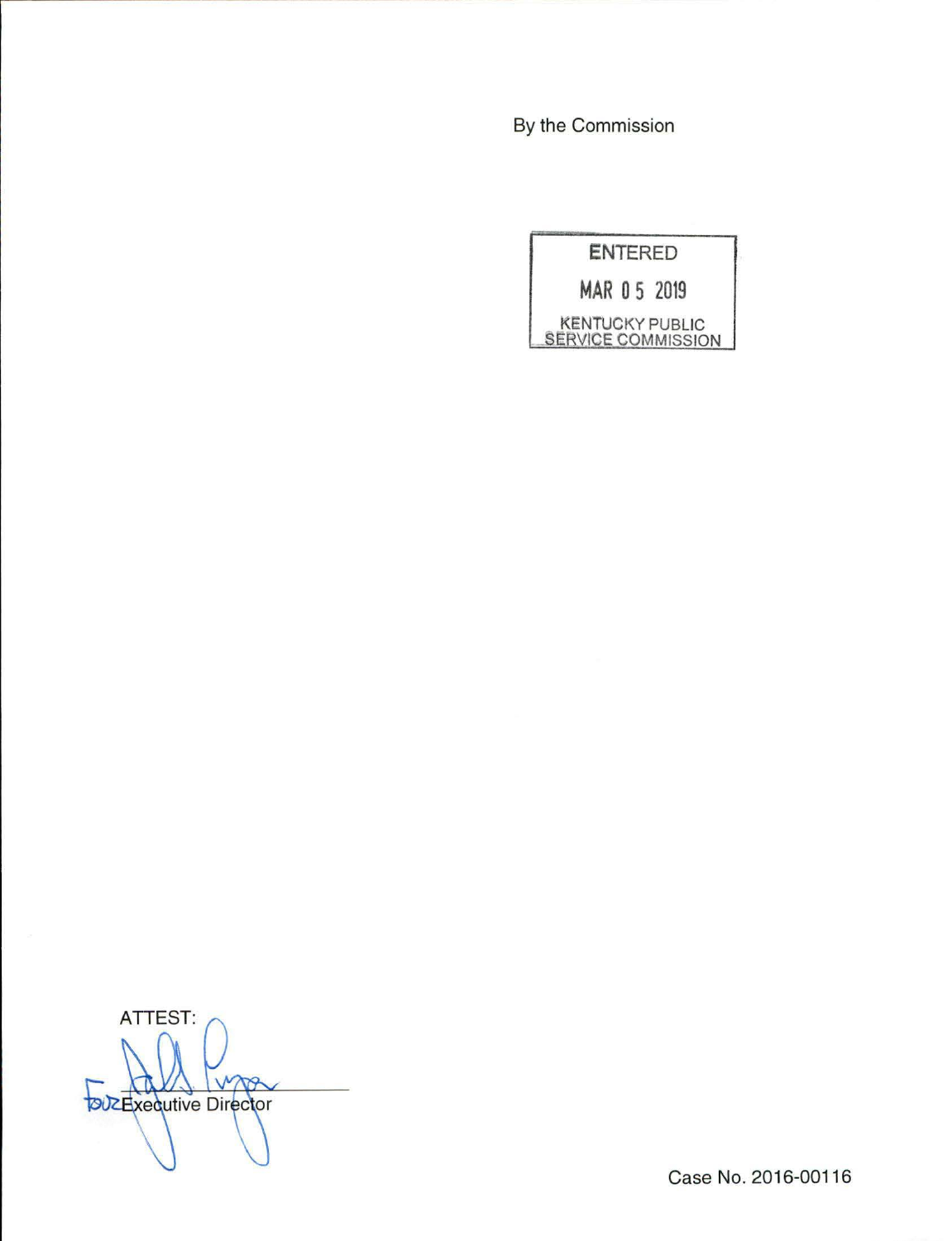By the Commission

**ENTERED MAR 0 5 2019**  KENTUCKY PUBLIC SERVICE COMMISSION

ATTEST: up **DUZExecutive Director** 

Case No. 2016-00116